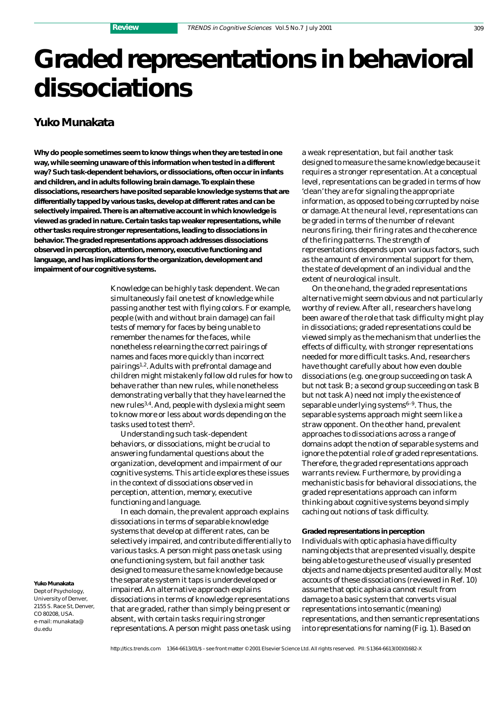# **Graded representations in behavioral dissociations**

# **Yuko Munakata**

**Why do people sometimes seem to know things when they are tested in one way, while seeming unaware of this information when tested in a different way? Such task-dependent behaviors, or dissociations, often occur in infants and children, and in adults following brain damage. To explain these dissociations, researchers have posited separable knowledge systems that are differentially tapped by various tasks, develop at different rates and can be selectively impaired. There is an alternative account in which knowledge is viewed as graded in nature. Certain tasks tap weaker representations, while other tasks require stronger representations, leading to dissociations in behavior. The graded representations approach addresses dissociations observed in perception, attention, memory, executive functioning and language, and has implications for the organization, development and impairment of our cognitive systems.**

> Knowledge can be highly task dependent. We can simultaneously fail one test of knowledge while passing another test with flying colors. For example, people (with and without brain damage) can fail tests of memory for faces by being unable to remember the names for the faces, while nonetheless relearning the correct pairings of names and faces more quickly than incorrect pairings1,2. Adults with prefrontal damage and children might mistakenly follow old rules for how to behave rather than new rules, while nonetheless demonstrating verbally that they have learned the new rules3,4. And, people with dyslexia might seem to know more or less about words depending on the tasks used to test them<sup>5</sup>.

Understanding such task-dependent behaviors, or dissociations, might be crucial to answering fundamental questions about the organization, development and impairment of our cognitive systems. This article explores these issues in the context of dissociations observed in perception, attention, memory, executive functioning and language.

In each domain, the prevalent approach explains dissociations in terms of separable knowledge systems that develop at different rates, can be selectively impaired, and contribute differentially to various tasks. A person might pass one task using one functioning system, but fail another task designed to measure the same knowledge because the separate system it taps is underdeveloped or impaired. An alternative approach explains dissociations in terms of knowledge representations that are graded, rather than simply being present or absent, with certain tasks requiring stronger representations. A person might pass one task using a weak representation, but fail another task designed to measure the same knowledge because it requires a stronger representation. At a conceptual level, representations can be graded in terms of how 'clean' they are for signaling the appropriate information, as opposed to being corrupted by noise or damage. At the neural level, representations can be graded in terms of the number of relevant neurons firing, their firing rates and the coherence of the firing patterns. The strength of representations depends upon various factors, such as the amount of environmental support for them, the state of development of an individual and the extent of neurological insult.

On the one hand, the graded representations alternative might seem obvious and not particularly worthy of review. After all, researchers have long been aware of the role that task difficulty might play in dissociations; graded representations could be viewed simply as the mechanism that underlies the effects of difficulty, with stronger representations needed for more difficult tasks. And, researchers have thought carefully about how even double dissociations (e.g. one group succeeding on task A but not task B; a second group succeeding on task B but not task A) need not imply the existence of separable underlying systems<sup>6-9</sup>. Thus, the separable systems approach might seem like a straw opponent. On the other hand, prevalent approaches to dissociations across a range of domains adopt the notion of separable systems and ignore the potential role of graded representations. Therefore, the graded representations approach warrants review. Furthermore, by providing a mechanistic basis for behavioral dissociations, the graded representations approach can inform thinking about cognitive systems beyond simply caching out notions of task difficulty.

# **Graded representations in perception** Individuals with optic aphasia have difficulty naming objects that are presented visually, despite being able to gesture the use of visually presented objects and name objects presented auditorally. Most accounts of these dissociations (reviewed in Ref. 10) assume that optic aphasia cannot result from damage to a basic system that converts visual representations into semantic (meaning) representations, and then semantic representations into representations for naming (Fig. 1). Based on

**Yuko Munakata** Dept of Psychology,

University of Denver, 2155 S. Race St, Denver, CO 80208, USA. e-mail: munakata@ du.edu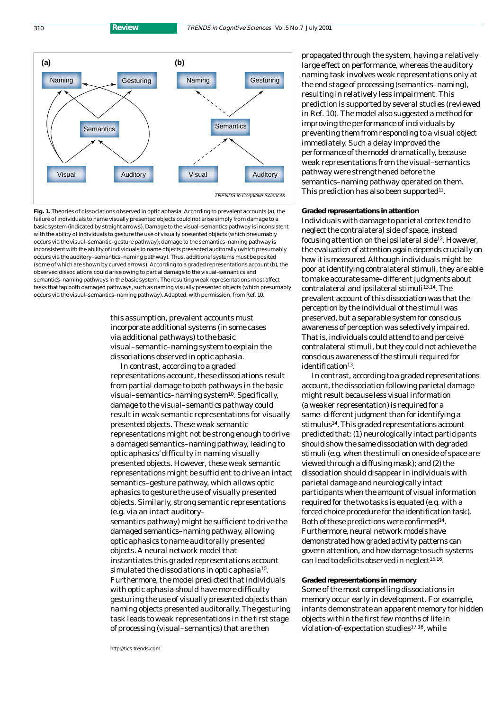

**Fig. 1.** Theories of dissociations observed in optic aphasia. According to prevalent accounts (a), the failure of individuals to name visually presented objects could not arise simply from damage to a basic system (indicated by straight arrows). Damage to the visual–semantics pathway is inconsistent with the ability of individuals to gesture the use of visually presented objects (which presumably occurs via the visual–semantic–gesture pathway); damage to the semantics–naming pathway is inconsistent with the ability of individuals to name objects presented auditorally (which presumably occurs via the auditory–semantics–naming pathway). Thus, additional systems must be posited (some of which are shown by curved arrows). According to a graded representations account (b), the observed dissociations could arise owing to partial damage to the visual–semantics and semantics–naming pathways in the basic system. The resulting weak representations most affect tasks that tap both damaged pathways, such as naming visually presented objects (which presumably occurs via the visual–semantics–naming pathway). Adapted, with permission, from Ref. 10.

# this assumption, prevalent accounts must incorporate additional systems (in some cases via additional pathways) to the basic visual–semantic–naming system to explain the dissociations observed in optic aphasia.

In contrast, according to a graded representations account, these dissociations result from partial damage to both pathways in the basic visual–semantics–naming system $10$ . Specifically, damage to the visual–semantics pathway could result in weak semantic representations for visually presented objects. These weak semantic representations might not be strong enough to drive a damaged semantics–naming pathway, leading to optic aphasics' difficulty in naming visually presented objects. However, these weak semantic representations might be sufficient to drive an intact semantics–gesture pathway, which allows optic aphasics to gesture the use of visually presented objects. Similarly, strong semantic representations (e.g. via an intact auditory– semantics pathway) might be sufficient to drive the damaged semantics–naming pathway, allowing optic aphasics to name auditorally presented objects. A neural network model that instantiates this graded representations account simulated the dissociations in optic aphasia<sup>10</sup>. Furthermore, the model predicted that individuals with optic aphasia should have more difficulty gesturing the use of visually presented objects than naming objects presented auditorally. The gesturing task leads to weak representations in the first stage of processing (visual–semantics) that are then

http://tics.trends.com

propagated through the system, having a relatively large effect on performance, whereas the auditory naming task involves weak representations only at the end stage of processing (semantics–naming), resulting in relatively less impairment. This prediction is supported by several studies (reviewed in Ref. 10). The model also suggested a method for improving the performance of individuals by preventing them from responding to a visual object immediately. Such a delay improved the performance of the model dramatically, because weak representations from the visual–semantics pathway were strengthened before the semantics–naming pathway operated on them. This prediction has also been supported $11$ .

## **Graded representations in attention**

Individuals with damage to parietal cortex tend to neglect the contralateral side of space, instead focusing attention on the ipsilateral side<sup>12</sup>. However, the evaluation of attention again depends crucially on how it is measured. Although individuals might be poor at identifying contralateral stimuli, they are able to make accurate same–different judgments about contralateral and ipsilateral stimuli<sup>13,14</sup>. The prevalent account of this dissociation was that the perception by the individual of the stimuli was preserved, but a separable system for conscious awareness of perception was selectively impaired. That is, individuals could attend to and perceive contralateral stimuli, but they could not achieve the conscious awareness of the stimuli required for  $identification<sup>13</sup>$ .

In contrast, according to a graded representations account, the dissociation following parietal damage might result because less visual information (a weaker representation) is required for a same–different judgment than for identifying a stimulus<sup>14</sup>. This graded representations account predicted that: (1) neurologically intact participants should show the same dissociation with degraded stimuli (e.g. when the stimuli on one side of space are viewed through a diffusing mask); and (2) the dissociation should disappear in individuals with parietal damage and neurologically intact participants when the amount of visual information required for the two tasks is equated (e.g. with a forced choice procedure for the identification task). Both of these predictions were confirmed<sup>14</sup>. Furthermore, neural network models have demonstrated how graded activity patterns can govern attention, and how damage to such systems can lead to deficits observed in neglect<sup>15,16</sup>.

#### **Graded representations in memory**

Some of the most compelling dissociations in memory occur early in development. For example, infants demonstrate an apparent memory for hidden objects within the first few months of life in violation-of-expectation studies<sup>17,18</sup>, while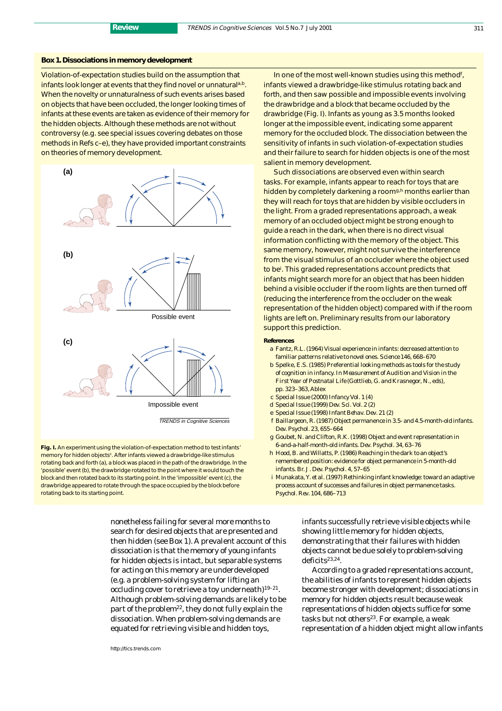## **Box 1. Dissociations in memory development**

Violation-of-expectation studies build on the assumption that infants look longer at events that they find novel or unnatural<sup>a,b</sup>. When the novelty or unnaturalness of such events arises based on objects that have been occluded, the longer looking times of infants at these events are taken as evidence of their memory for the hidden objects. Although these methods are not without controversy (e.g. see special issues covering debates on those methods in Refs c–e), they have provided important constraints on theories of memory development.



**Fig. I.** An experiment using the violation-of-expectation method to test infants' memory for hidden objects<sup>c</sup>. After infants viewed a drawbridge-like stimulus rotating back and forth (a), a block was placed in the path of the drawbridge. In the 'possible' event (b), the drawbridge rotated to the point where it would touch the block and then rotated back to its starting point. In the 'impossible' event (c), the drawbridge appeared to rotate through the space occupied by the block before rotating back to its starting point.

In one of the most well-known studies using this methodf , infants viewed a drawbridge-like stimulus rotating back and forth, and then saw possible and impossible events involving the drawbridge and a block that became occluded by the drawbridge (Fig. I). Infants as young as 3.5 months looked longer at the impossible event, indicating some apparent memory for the occluded block. The dissociation between the sensitivity of infants in such violation-of-expectation studies and their failure to search for hidden objects is one of the most salient in memory development.

Such dissociations are observed even within search tasks. For example, infants appear to reach for toys that are hidden by completely darkening a room<sup>g,h</sup> months earlier than they will reach for toys that are hidden by visible occluders in the light. From a graded representations approach, a weak memory of an occluded object might be strong enough to guide a reach in the dark, when there is no direct visual information conflicting with the memory of the object. This same memory, however, might not survive the interference from the visual stimulus of an occluder where the object used to be<sup>i</sup>. This graded representations account predicts that infants might search more for an object that has been hidden behind a visible occluder if the room lights are then turned off (reducing the interference from the occluder on the weak representation of the hidden object) compared with if the room lights are left on. Preliminary results from our laboratory support this prediction.

#### **References**

- a Fantz, R.L. (1964) Visual experience in infants: decreased attention to familiar patterns relative to novel ones. *Science* 146, 668–670
- b Spelke, E.S. (1985) Preferential looking methods as tools for the study of cognition in infancy. In *Measurement of Audition and Vision in the First Year of Postnatal Life* (Gottlieb, G. and Krasnegor, N., eds), pp. 323–363,Ablex
- c Special Issue (2000) *Infancy* Vol. 1 (4)
- d Special Issue (1999) *Dev. Sci*. Vol. 2 (2)
- e Special Issue (1998) *Infant Behav. Dev*. 21 (2)
- f Baillargeon, R. (1987) Object permanence in 3.5- and 4.5-month-old infants. *Dev. Psychol.* 23, 655–664
- g Goubet, N. and Clifton, R.K. (1998) Object and event representation in 6-and-a-half-month-old infants. *Dev. Psychol.* 34, 63–76
- h Hood, B. and Willatts, P. (1986) Reaching in the dark to an object's remembered position: evidence for object permanence in 5-month-old infants. *Br. J. Dev. Psychol.* 4, 57–65
- i Munakata, Y. *et al.* (1997) Rethinking infant knowledge: toward an adaptive process account of successes and failures in object permanence tasks. *Psychol. Rev.* 104, 686–713

nonetheless failing for several more months to search for desired objects that are presented and then hidden (see Box 1). A prevalent account of this dissociation is that the memory of young infants for hidden objects is intact, but separable systems for acting on this memory are underdeveloped (e.g. a problem-solving system for lifting an occluding cover to retrieve a toy underneath)19–21. Although problem-solving demands are likely to be part of the problem<sup>22</sup>, they do not fully explain the dissociation. When problem-solving demands are equated for retrieving visible and hidden toys,

infants successfully retrieve visible objects while showing little memory for hidden objects, demonstrating that their failures with hidden objects cannot be due solely to problem-solving deficits<sup>23,24</sup>.

According to a graded representations account, the abilities of infants to represent hidden objects become stronger with development; dissociations in memory for hidden objects result because weak representations of hidden objects suffice for some tasks but not others<sup>23</sup>. For example, a weak representation of a hidden object might allow infants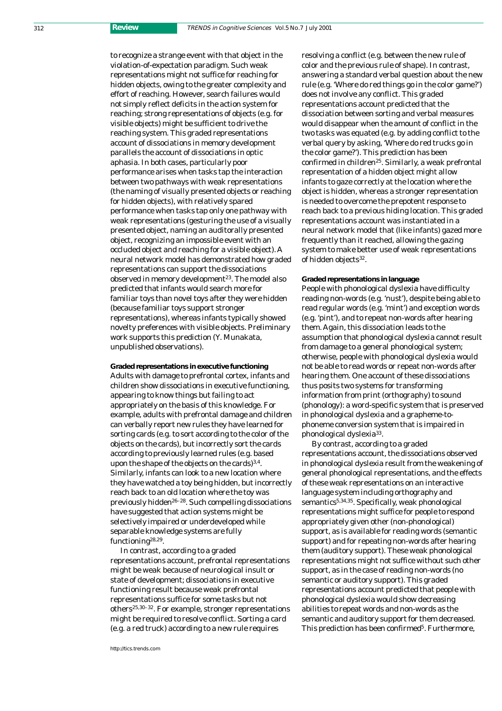to recognize a strange event with that object in the violation-of-expectation paradigm. Such weak representations might not suffice for reaching for hidden objects, owing to the greater complexity and effort of reaching. However, search failures would not simply reflect deficits in the action system for reaching; strong representations of objects (e.g. for visible objects) might be sufficient to drive the reaching system. This graded representations account of dissociations in memory development parallels the account of dissociations in optic aphasia. In both cases, particularly poor performance arises when tasks tap the interaction between two pathways with weak representations (the naming of visually presented objects or reaching for hidden objects), with relatively spared performance when tasks tap only one pathway with weak representations (gesturing the use of a visually presented object, naming an auditorally presented object, recognizing an impossible event with an occluded object and reaching for a visible object). A neural network model has demonstrated how graded representations can support the dissociations observed in memory development<sup>23</sup>. The model also predicted that infants would search more for familiar toys than novel toys after they were hidden (because familiar toys support stronger representations), whereas infants typically showed novelty preferences with visible objects. Preliminary work supports this prediction (Y. Munakata, unpublished observations).

**Graded representations in executive functioning** Adults with damage to prefrontal cortex, infants and children show dissociations in executive functioning, appearing to know things but failing to act appropriately on the basis of this knowledge. For example, adults with prefrontal damage and children can verbally report new rules they have learned for sorting cards (e.g. to sort according to the color of the objects on the cards), but incorrectly sort the cards according to previously learned rules (e.g. based upon the shape of the objects on the cards) $3,4$ . Similarly, infants can look to a new location where they have watched a toy being hidden, but incorrectly reach back to an old location where the toy was previously hidden<sup>26-28</sup>. Such compelling dissociations have suggested that action systems might be selectively impaired or underdeveloped while separable knowledge systems are fully functioning28,29.

In contrast, according to a graded representations account, prefrontal representations might be weak because of neurological insult or state of development; dissociations in executive functioning result because weak prefrontal representations suffice for some tasks but not others<sup>25,30-32</sup>. For example, stronger representations might be required to resolve conflict. Sorting a card (e.g. a red truck) according to a new rule requires

http://tics.trends.com

resolving a conflict (e.g. between the new rule of color and the previous rule of shape). In contrast, answering a standard verbal question about the new rule (e.g. 'Where do red things go in the color game?') does not involve any conflict. This graded representations account predicted that the dissociation between sorting and verbal measures would disappear when the amount of conflict in the two tasks was equated (e.g. by adding conflict to the verbal query by asking, 'Where do red trucks go in the color game?'). This prediction has been confirmed in children<sup>25</sup>. Similarly, a weak prefrontal representation of a hidden object might allow infants to gaze correctly at the location where the object is hidden, whereas a stronger representation is needed to overcome the prepotent response to reach back to a previous hiding location. This graded representations account was instantiated in a neural network model that (like infants) gazed more frequently than it reached, allowing the gazing system to make better use of weak representations of hidden objects<sup>32</sup>.

#### **Graded representations in language**

People with phonological dyslexia have difficulty reading non-words (e.g. 'nust'), despite being able to read regular words (e.g. 'mint') and exception words (e.g. 'pint'), and to repeat non-words after hearing them. Again, this dissociation leads to the assumption that phonological dyslexia cannot result from damage to a general phonological system; otherwise, people with phonological dyslexia would not be able to read words or repeat non-words after hearing them. One account of these dissociations thus posits two systems for transforming information from print (orthography) to sound (phonology): a word-specific system that is preserved in phonological dyslexia and a grapheme-tophoneme conversion system that is impaired in phonological dyslexia33.

By contrast, according to a graded representations account, the dissociations observed in phonological dyslexia result from the weakening of general phonological representations, and the effects of these weak representations on an interactive language system including orthography and semantics<sup>5,34,35</sup>. Specifically, weak phonological representations might suffice for people to respond appropriately given other (non-phonological) support, as is available for reading words (semantic support) and for repeating non-words after hearing them (auditory support). These weak phonological representations might not suffice without such other support, as in the case of reading non-words (no semantic or auditory support). This graded representations account predicted that people with phonological dyslexia would show decreasing abilities to repeat words and non-words as the semantic and auditory support for them decreased. This prediction has been confirmed<sup>5</sup>. Furthermore,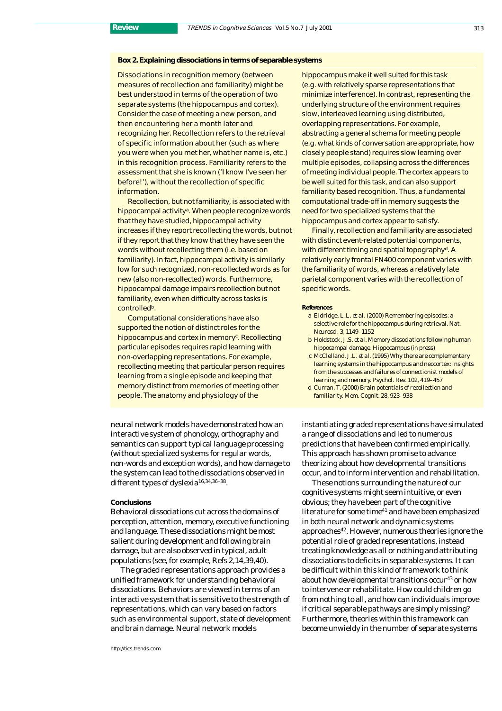## **Box 2. Explaining dissociations in terms of separable systems**

Dissociations in recognition memory (between measures of recollection and familiarity) might be best understood in terms of the operation of two separate systems (the hippocampus and cortex). Consider the case of meeting a new person, and then encountering her a month later and recognizing her. Recollection refers to the retrieval of specific information about her (such as where you were when you met her, what her name is, etc.) in this recognition process. Familiarity refers to the assessment that she is known ('I know I've seen her before!'), without the recollection of specific information.

Recollection, but not familiarity, is associated with hippocampal activity<sup>a</sup>. When people recognize words that they have studied, hippocampal activity increases if they report recollecting the words, but not if they report that they know that they have seen the words without recollecting them (i.e. based on familiarity). In fact, hippocampal activity is similarly low for such recognized, non-recollected words as for new (also non-recollected) words. Furthermore, hippocampal damage impairs recollection but not familiarity, even when difficulty across tasks is controlled<sup>b</sup>.

Computational considerations have also supported the notion of distinct roles for the hippocampus and cortex in memory<sup>c</sup>. Recollecting particular episodes requires rapid learning with non-overlapping representations. For example, recollecting meeting that particular person requires learning from a single episode and keeping that memory distinct from memories of meeting other people. The anatomy and physiology of the

neural network models have demonstrated how an interactive system of phonology, orthography and semantics can support typical language processing (without specialized systems for regular words, non-words and exception words), and how damage to the system can lead to the dissociations observed in different types of dyslexia<sup>16,34,36-38</sup>.

## **Conclusions**

Behavioral dissociations cut across the domains of perception, attention, memory, executive functioning and language. These dissociations might be most salient during development and following brain damage, but are also observed in typical, adult populations (see, for example, Refs 2,14,39,40).

The graded representations approach provides a unified framework for understanding behavioral dissociations. Behaviors are viewed in terms of an interactive system that is sensitive to the strength of representations, which can vary based on factors such as environmental support, state of development and brain damage. Neural network models

hippocampus make it well suited for this task (e.g. with relatively sparse representations that minimize interference). In contrast, representing the underlying structure of the environment requires slow, interleaved learning using distributed, overlapping representations. For example, abstracting a general schema for meeting people (e.g. what kinds of conversation are appropriate, how closely people stand) requires slow learning over multiple episodes, collapsing across the differences of meeting individual people. The cortex appears to be well suited for this task, and can also support familiarity based recognition. Thus, a fundamental computational trade-off in memory suggests the need for two specialized systems that the hippocampus and cortex appear to satisfy.

Finally, recollection and familiarity are associated with distinct event-related potential components, with different timing and spatial topography<sup>d</sup>. A relatively early frontal FN400 component varies with the familiarity of words, whereas a relatively late parietal component varies with the recollection of specific words.

#### **References**

- a Eldridge, L.L. *et al.* (2000) Remembering episodes: a selective role for the hippocampus during retrieval. *Nat. Neurosci.* 3, 1149–1152
- b Holdstock, J.S. *et al.* Memory dissociations following human hippocampal damage. *Hippocampus* (in press)
- c McClelland, J.L. *et al.* (1995) Why there are complementary learning systems in the hippocampus and neocortex: insights from the successes and failures of connectionist models of learning and memory. *Psychol. Rev.* 102, 419–457
- d Curran, T. (2000) Brain potentials of recollection and familiarity. *Mem. Cognit.* 28, 923–938

instantiating graded representations have simulated a range of dissociations and led to numerous predictions that have been confirmed empirically. This approach has shown promise to advance theorizing about how developmental transitions occur, and to inform intervention and rehabilitation.

These notions surrounding the nature of our cognitive systems might seem intuitive, or even obvious; they have been part of the cognitive literature for some time41 and have been emphasized in both neural network and dynamic systems approaches<sup>42</sup>. However, numerous theories ignore the potential role of graded representations, instead treating knowledge as all or nothing and attributing dissociations to deficits in separable systems. It can be difficult within this kind of framework to think about how developmental transitions occur<sup>43</sup> or how to intervene or rehabilitate. How could children go from nothing to all, and how can individuals improve if critical separable pathways are simply missing? Furthermore, theories within this framework can become unwieldy in the number of separate systems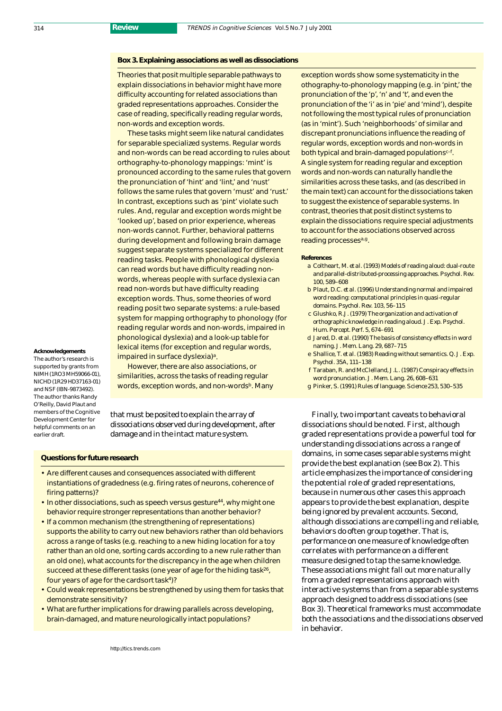## **Box 3. Explaining associations as well as dissociations**

Theories that posit multiple separable pathways to explain dissociations in behavior might have more difficulty accounting for related associations than graded representations approaches. Consider the case of reading, specifically reading regular words, non-words and exception words.

These tasks might seem like natural candidates for separable specialized systems. Regular words and non-words can be read according to rules about orthography-to-phonology mappings: 'mint' is pronounced according to the same rules that govern the pronunciation of 'hint' and 'lint,' and 'nust' follows the same rules that govern 'must' and 'rust.' In contrast, exceptions such as 'pint' violate such rules. And, regular and exception words might be 'looked up', based on prior experience, whereas non-words cannot. Further, behavioral patterns during development and following brain damage suggest separate systems specialized for different reading tasks. People with phonological dyslexia can read words but have difficulty reading nonwords, whereas people with surface dyslexia can read non-words but have difficulty reading exception words. Thus, some theories of word reading posit two separate systems: a rule-based system for mapping orthography to phonology (for reading regular words and non-words, impaired in phonological dyslexia) and a look-up table for lexical items (for exception and regular words, impaired in surface dyslexia)<sup>a</sup>.

## **Acknowledgements**

The author's research is supported by grants from NIMH (1RO3 MH59066-01), NICHD (1R29 HD37163-01) and NSF (IBN-9873492). The author thanks Randy O'Reilly, David Plaut and members of the Cognitive Development Center for helpful comments on an earlier draft.

However, there are also associations, or similarities, across the tasks of reading regular words, exception words, and non-words<sup>b</sup>. Many

that must be posited to explain the array of dissociations observed during development, after damage and in the intact mature system.

#### **Questions for future research**

- Are different causes and consequences associated with different instantiations of gradedness (e.g. firing rates of neurons, coherence of firing patterns)?
- In other dissociations, such as speech versus gesture<sup>44</sup>, why might one behavior require stronger representations than another behavior?
- If a common mechanism (the strengthening of representations) supports the ability to carry out new behaviors rather than old behaviors across a range of tasks (e.g. reaching to a new hiding location for a toy rather than an old one, sorting cards according to a new rule rather than an old one), what accounts for the discrepancy in the age when children succeed at these different tasks (one year of age for the hiding task<sup>26</sup>, four years of age for the cardsort task<sup>4</sup>)?
- Could weak representations be strengthened by using them for tasks that demonstrate sensitivity?
- What are further implications for drawing parallels across developing, brain-damaged, and mature neurologically intact populations?

exception words show some systematicity in the othography-to-phonology mapping (e.g. in 'pint,' the pronunciation of the 'p', 'n' and 't', and even the pronunciation of the 'i' as in 'pie' and 'mind'), despite not following the most typical rules of pronunciation (as in 'mint'). Such 'neighborhoods' of similar and discrepant pronunciations influence the reading of regular words, exception words and non-words in both typical and brain-damaged populations<sup>c-f</sup>. A single system for reading regular and exception words and non-words can naturally handle the similarities across these tasks, and (as described in the main text) can account for the dissociations taken to suggest the existence of separable systems. In contrast, theories that posit distinct systems to explain the dissociations require special adjustments to account for the associations observed across reading processes<sup>a,g</sup>.

#### **References**

- a Coltheart, M. *et al.* (1993) Models of reading aloud: dual-route and parallel-distributed-processing approaches. *Psychol. Rev.* 100, 589–608
- b Plaut, D.C. *et al.* (1996) Understanding normal and impaired word reading: computational principles in quasi-regular domains. *Psychol. Rev.* 103, 56–115
- c Glushko, R.J. (1979) The organization and activation of orthographic knowledge in reading aloud. *J. Exp. Psychol. Hum. Percept. Perf.* 5, 674–691
- d Jared, D. *et al.* (1990) The basis of consistency effects in word naming. *J. Mem. Lang.* 29, 687–715
- e Shallice, T. *et al.* (1983) Reading without semantics. *Q. J. Exp. Psychol.* 35A, 111–138
- f Taraban, R. and McClelland, J.L. (1987) Conspiracy effects in word pronunciation. *J. Mem. Lang.* 26, 608–631
- g Pinker, S. (1991) Rules of language. *Science* 253, 530–535

Finally, two important caveats to behavioral dissociations should be noted. First, although graded representations provide a powerful tool for understanding dissociations across a range of domains, in some cases separable systems might provide the best explanation (see Box 2). This article emphasizes the importance of considering the potential role of graded representations, because in numerous other cases this approach appears to provide the best explanation, despite being ignored by prevalent accounts. Second, although dissociations are compelling and reliable, behaviors do often group together. That is, performance on one measure of knowledge often correlates with performance on a different measure designed to tap the same knowledge. These associations might fall out more naturally from a graded representations approach with interactive systems than from a separable systems approach designed to address dissociations (see Box 3). Theoretical frameworks must accommodate both the associations and the dissociations observed in behavior.